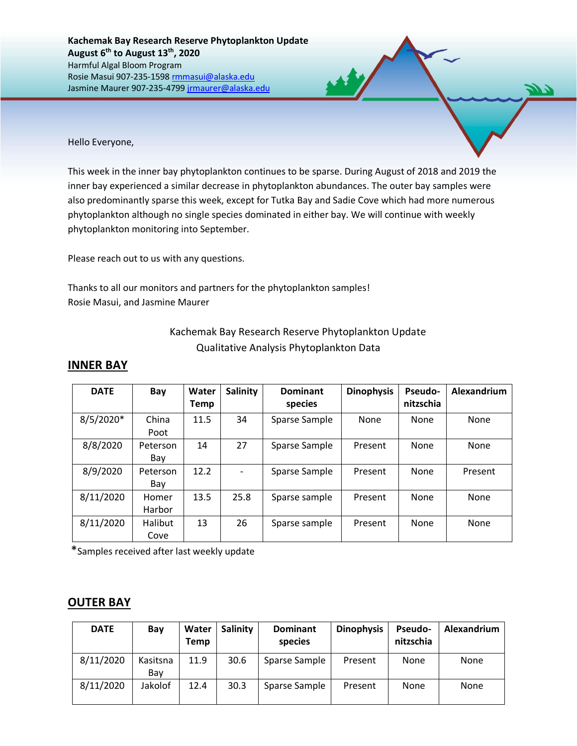Hello Everyone,

This week in the inner bay phytoplankton continues to be sparse. During August of 2018 and 2019 the inner bay experienced a similar decrease in phytoplankton abundances. The outer bay samples were also predominantly sparse this week, except for Tutka Bay and Sadie Cove which had more numerous phytoplankton although no single species dominated in either bay. We will continue with weekly phytoplankton monitoring into September.

Please reach out to us with any questions.

Thanks to all our monitors and partners for the phytoplankton samples! Rosie Masui, and Jasmine Maurer

| Kachemak Bay Research Reserve Phytoplankton Update |
|----------------------------------------------------|
| Qualitative Analysis Phytoplankton Data            |

## **INNER BAY**

| <b>DATE</b> | Bay             | Water<br><b>Temp</b> | <b>Salinity</b> | <b>Dominant</b><br>species | <b>Dinophysis</b> | <b>Pseudo-</b><br>nitzschia | Alexandrium |
|-------------|-----------------|----------------------|-----------------|----------------------------|-------------------|-----------------------------|-------------|
| $8/5/2020*$ | China<br>Poot   | 11.5                 | 34              | Sparse Sample              | None              | None                        | None        |
| 8/8/2020    | Peterson<br>Bay | 14                   | 27              | Sparse Sample              | Present           | None                        | None        |
| 8/9/2020    | Peterson<br>Bay | 12.2                 |                 | Sparse Sample              | Present           | None                        | Present     |
| 8/11/2020   | Homer<br>Harbor | 13.5                 | 25.8            | Sparse sample              | Present           | None                        | None        |
| 8/11/2020   | Halibut<br>Cove | 13                   | 26              | Sparse sample              | Present           | None                        | None        |

\*Samples received after last weekly update

## **OUTER BAY**

| <b>DATE</b> | Bay             | Water<br><b>Temp</b> | Salinity | <b>Dominant</b><br>species | <b>Dinophysis</b> | <b>Pseudo-</b><br>nitzschia | Alexandrium |
|-------------|-----------------|----------------------|----------|----------------------------|-------------------|-----------------------------|-------------|
| 8/11/2020   | Kasitsna<br>Bay | 11.9                 | 30.6     | Sparse Sample              | Present           | None                        | None        |
| 8/11/2020   | Jakolof         | 12.4                 | 30.3     | Sparse Sample              | Present           | None                        | None        |